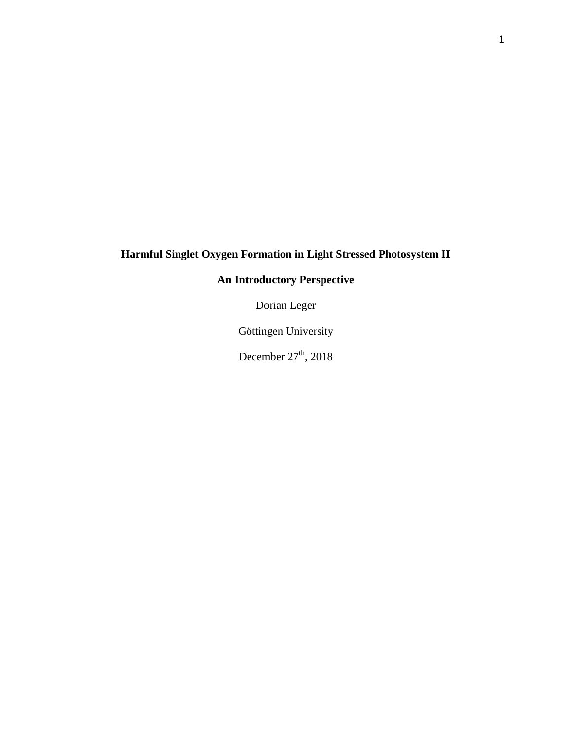# **Harmful Singlet Oxygen Formation in Light Stressed Photosystem II**

# **An Introductory Perspective**

Dorian Leger

Göttingen University

December  $27<sup>th</sup>$ , 2018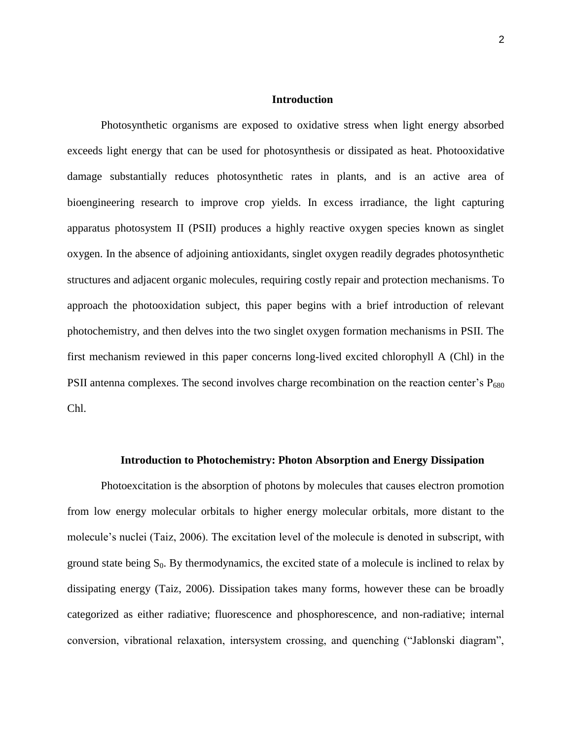#### **Introduction**

Photosynthetic organisms are exposed to oxidative stress when light energy absorbed exceeds light energy that can be used for photosynthesis or dissipated as heat. Photooxidative damage substantially reduces photosynthetic rates in plants, and is an active area of bioengineering research to improve crop yields. In excess irradiance, the light capturing apparatus photosystem II (PSII) produces a highly reactive oxygen species known as singlet oxygen. In the absence of adjoining antioxidants, singlet oxygen readily degrades photosynthetic structures and adjacent organic molecules, requiring costly repair and protection mechanisms. To approach the photooxidation subject, this paper begins with a brief introduction of relevant photochemistry, and then delves into the two singlet oxygen formation mechanisms in PSII. The first mechanism reviewed in this paper concerns long-lived excited chlorophyll A (Chl) in the PSII antenna complexes. The second involves charge recombination on the reaction center's  $P_{680}$ Chl.

#### **Introduction to Photochemistry: Photon Absorption and Energy Dissipation**

Photoexcitation is the absorption of photons by molecules that causes electron promotion from low energy molecular orbitals to higher energy molecular orbitals, more distant to the molecule's nuclei (Taiz, 2006). The excitation level of the molecule is denoted in subscript, with ground state being  $S_0$ . By thermodynamics, the excited state of a molecule is inclined to relax by dissipating energy (Taiz, 2006). Dissipation takes many forms, however these can be broadly categorized as either radiative; fluorescence and phosphorescence, and non-radiative; internal conversion, vibrational relaxation, intersystem crossing, and quenching ("Jablonski diagram",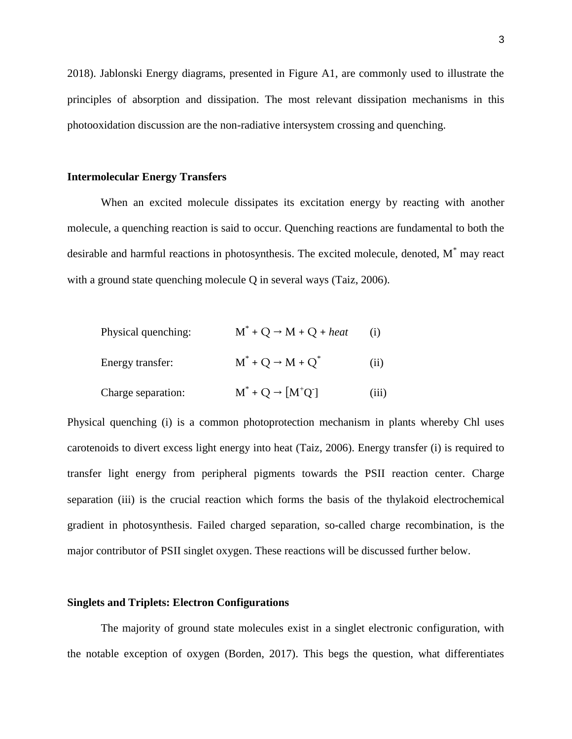2018). Jablonski Energy diagrams, presented in Figure A1, are commonly used to illustrate the principles of absorption and dissipation. The most relevant dissipation mechanisms in this photooxidation discussion are the non-radiative intersystem crossing and quenching.

# **Intermolecular Energy Transfers**

When an excited molecule dissipates its excitation energy by reacting with another molecule, a quenching reaction is said to occur. Quenching reactions are fundamental to both the desirable and harmful reactions in photosynthesis. The excited molecule, denoted, M<sup>\*</sup> may react with a ground state quenching molecule Q in several ways (Taiz, 2006).

| Physical quenching: | $M^*$ + Q $\rightarrow$ M + Q + heat       | (i)   |
|---------------------|--------------------------------------------|-------|
| Energy transfer:    | $M^*$ + Q $\rightarrow$ M + Q <sup>*</sup> | (i)   |
| Charge separation:  | $M^* + Q \rightarrow [M^+Q^-]$             | (iii) |

Physical quenching (i) is a common photoprotection mechanism in plants whereby Chl uses carotenoids to divert excess light energy into heat (Taiz, 2006). Energy transfer (i) is required to transfer light energy from peripheral pigments towards the PSII reaction center. Charge separation (iii) is the crucial reaction which forms the basis of the thylakoid electrochemical gradient in photosynthesis. Failed charged separation, so-called charge recombination, is the major contributor of PSII singlet oxygen. These reactions will be discussed further below.

# **Singlets and Triplets: Electron Configurations**

The majority of ground state molecules exist in a singlet electronic configuration, with the notable exception of oxygen (Borden, 2017). This begs the question, what differentiates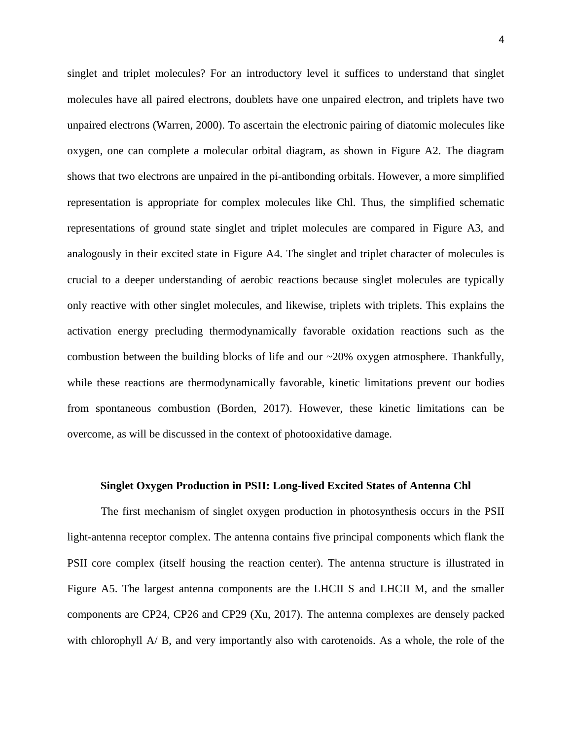singlet and triplet molecules? For an introductory level it suffices to understand that singlet molecules have all paired electrons, doublets have one unpaired electron, and triplets have two unpaired electrons (Warren, 2000). To ascertain the electronic pairing of diatomic molecules like oxygen, one can complete a molecular orbital diagram, as shown in Figure A2. The diagram shows that two electrons are unpaired in the pi-antibonding orbitals. However, a more simplified representation is appropriate for complex molecules like Chl. Thus, the simplified schematic representations of ground state singlet and triplet molecules are compared in Figure A3, and analogously in their excited state in Figure A4. The singlet and triplet character of molecules is crucial to a deeper understanding of aerobic reactions because singlet molecules are typically only reactive with other singlet molecules, and likewise, triplets with triplets. This explains the activation energy precluding thermodynamically favorable oxidation reactions such as the combustion between the building blocks of life and our  $\sim$ 20% oxygen atmosphere. Thankfully, while these reactions are thermodynamically favorable, kinetic limitations prevent our bodies from spontaneous combustion (Borden, 2017). However, these kinetic limitations can be overcome, as will be discussed in the context of photooxidative damage.

#### **Singlet Oxygen Production in PSII: Long-lived Excited States of Antenna Chl**

The first mechanism of singlet oxygen production in photosynthesis occurs in the PSII light-antenna receptor complex. The antenna contains five principal components which flank the PSII core complex (itself housing the reaction center). The antenna structure is illustrated in Figure A5. The largest antenna components are the LHCII S and LHCII M, and the smaller components are CP24, CP26 and CP29 (Xu, 2017). The antenna complexes are densely packed with chlorophyll A/ B, and very importantly also with carotenoids. As a whole, the role of the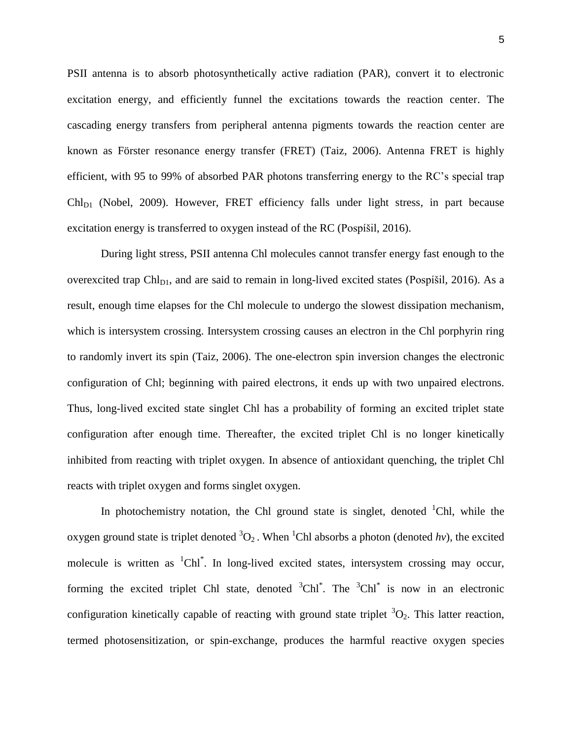PSII antenna is to absorb photosynthetically active radiation (PAR), convert it to electronic excitation energy, and efficiently funnel the excitations towards the reaction center. The cascading energy transfers from peripheral antenna pigments towards the reaction center are known as Förster resonance energy transfer (FRET) (Taiz, 2006). Antenna FRET is highly efficient, with 95 to 99% of absorbed PAR photons transferring energy to the RC's special trap  $Chl<sub>D1</sub>$  (Nobel, 2009). However, FRET efficiency falls under light stress, in part because excitation energy is transferred to oxygen instead of the RC (Pospíšil, 2016).

During light stress, PSII antenna Chl molecules cannot transfer energy fast enough to the overexcited trap  $Ch<sub>DI</sub>$ , and are said to remain in long-lived excited states (Pospíšil, 2016). As a result, enough time elapses for the Chl molecule to undergo the slowest dissipation mechanism, which is intersystem crossing. Intersystem crossing causes an electron in the Chl porphyrin ring to randomly invert its spin (Taiz, 2006). The one-electron spin inversion changes the electronic configuration of Chl; beginning with paired electrons, it ends up with two unpaired electrons. Thus, long-lived excited state singlet Chl has a probability of forming an excited triplet state configuration after enough time. Thereafter, the excited triplet Chl is no longer kinetically inhibited from reacting with triplet oxygen. In absence of antioxidant quenching, the triplet Chl reacts with triplet oxygen and forms singlet oxygen.

In photochemistry notation, the Chl ground state is singlet, denoted  $\Delta$ -Chl, while the oxygen ground state is triplet denoted  ${}^{3}O_{2}$ . When <sup>1</sup>Chl absorbs a photon (denoted *hv*), the excited molecule is written as  ${}^{1}$ Chl $*$ . In long-lived excited states, intersystem crossing may occur, forming the excited triplet Chl state, denoted  ${}^{3}$ Chl<sup>\*</sup>. The  ${}^{3}$ Chl<sup>\*</sup> is now in an electronic configuration kinetically capable of reacting with ground state triplet  ${}^{3}O_{2}$ . This latter reaction, termed photosensitization, or spin-exchange, produces the harmful reactive oxygen species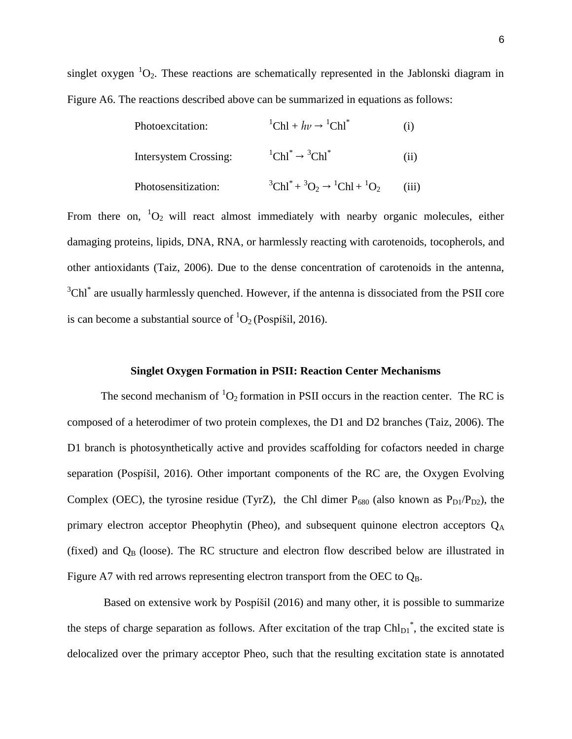singlet oxygen  ${}^{1}O_{2}$ . These reactions are schematically represented in the Jablonski diagram in Figure A6. The reactions described above can be summarized in equations as follows:

| Photoexcitation:      | <sup>1</sup> Chl + $h\nu \rightarrow$ <sup>1</sup> Chl <sup>*</sup> | $\rm(i)$ |
|-----------------------|---------------------------------------------------------------------|----------|
| Intersystem Crossing: | ${}^1$ Chl <sup>*</sup> $\rightarrow$ <sup>3</sup> Chl <sup>*</sup> | (11)     |
| Photosensitization:   | ${}^{3}Chl^{*} + {}^{3}O_{2} \rightarrow {}^{1}Chl + {}^{1}O_{2}$   | (iii)    |

From there on,  ${}^{1}O_{2}$  will react almost immediately with nearby organic molecules, either damaging proteins, lipids, DNA, RNA, or harmlessly reacting with carotenoids, tocopherols, and other antioxidants (Taiz, 2006). Due to the dense concentration of carotenoids in the antenna,  $3$ Chl $*$  are usually harmlessly quenched. However, if the antenna is dissociated from the PSII core is can become a substantial source of  ${}^{1}O_{2}$  (Pospíšil, 2016).

# **Singlet Oxygen Formation in PSII: Reaction Center Mechanisms**

The second mechanism of  ${}^{1}O_{2}$  formation in PSII occurs in the reaction center. The RC is composed of a heterodimer of two protein complexes, the D1 and D2 branches (Taiz, 2006). The D1 branch is photosynthetically active and provides scaffolding for cofactors needed in charge separation (Pospíšil, 2016). Other important components of the RC are, the Oxygen Evolving Complex (OEC), the tyrosine residue (TyrZ), the Chl dimer  $P_{680}$  (also known as  $P_{D1}/P_{D2}$ ), the primary electron acceptor Pheophytin (Pheo), and subsequent quinone electron acceptors  $Q_A$ (fixed) and  $Q_B$  (loose). The RC structure and electron flow described below are illustrated in Figure A7 with red arrows representing electron transport from the OEC to  $Q_B$ .

Based on extensive work by Pospíšil (2016) and many other, it is possible to summarize the steps of charge separation as follows. After excitation of the trap  $Chl_{D1}^*$ , the excited state is delocalized over the primary acceptor Pheo, such that the resulting excitation state is annotated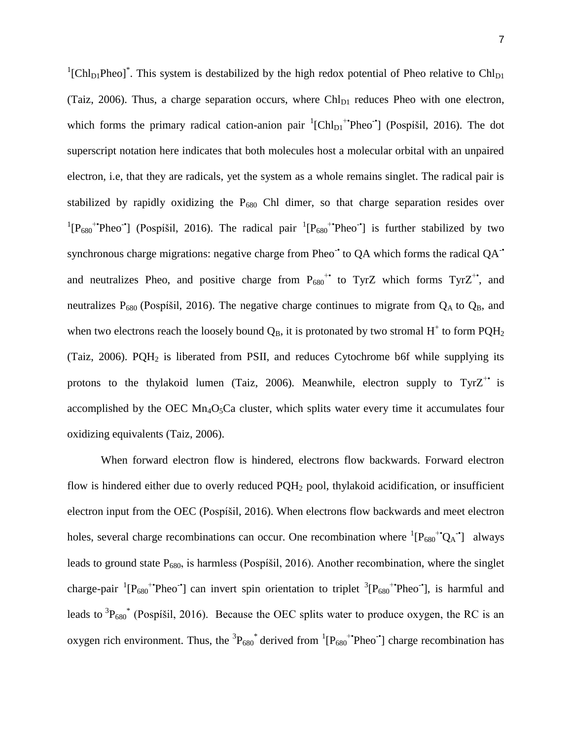${}^{1}$ [Chl<sub>D1</sub>Pheo]<sup>\*</sup>. This system is destabilized by the high redox potential of Pheo relative to Chl<sub>D1</sub> (Taiz, 2006). Thus, a charge separation occurs, where  $ChI<sub>D1</sub>$  reduces Pheo with one electron, which forms the primary radical cation-anion pair  ${}^{1}$ [Chl<sub>D1</sub><sup>+•</sup>Pheo<sup>-•</sup>] (Pospíšil, 2016). The dot superscript notation here indicates that both molecules host a molecular orbital with an unpaired electron, i.e, that they are radicals, yet the system as a whole remains singlet. The radical pair is stabilized by rapidly oxidizing the  $P_{680}$  Chl dimer, so that charge separation resides over <sup>1</sup>[P<sub>680</sub><sup>+•</sup>Pheo<sup>-•</sup>] (Pospíšil, 2016). The radical pair <sup>1</sup>[P<sub>680</sub><sup>+••</sup>Pheo<sup>-•</sup>] is further stabilized by two synchronous charge migrations: negative charge from Pheo $\dot{\phantom{\phi}}$  to QA which forms the radical QA $\dot{\phantom{\phi}}$ and neutralizes Pheo, and positive charge from  $P_{680}^{\text{++}}$  to TyrZ which forms TyrZ<sup>++</sup>, and neutralizes  $P_{680}$  (Pospíšil, 2016). The negative charge continues to migrate from  $Q_A$  to  $Q_B$ , and when two electrons reach the loosely bound  $Q_B$ , it is protonated by two stromal  $H^+$  to form PQH<sub>2</sub> (Taiz, 2006). PQH<sub>2</sub> is liberated from PSII, and reduces Cytochrome b6f while supplying its protons to the thylakoid lumen (Taiz, 2006). Meanwhile, electron supply to  $TyrZ^+$  is accomplished by the OEC  $Mn_4O_5Ca$  cluster, which splits water every time it accumulates four oxidizing equivalents (Taiz, 2006).

When forward electron flow is hindered, electrons flow backwards. Forward electron flow is hindered either due to overly reduced PQH<sup>2</sup> pool, thylakoid acidification, or insufficient electron input from the OEC (Pospíšil, 2016). When electrons flow backwards and meet electron holes, several charge recombinations can occur. One recombination where  ${}^{1}[P_{680}^{\dagger*}Q_{A}^{\dagger}]$  always leads to ground state  $P_{680}$ , is harmless (Pospíšil, 2016). Another recombination, where the singlet charge-pair  ${}^{1}[P_{680}$ <sup>+•</sup>Pheo<sup>-•</sup>] can invert spin orientation to triplet  ${}^{3}[P_{680}$ <sup>+•</sup>Pheo<sup>-•</sup>], is harmful and leads to  ${}^{3}P_{680}$ <sup>\*</sup> (Pospíšil, 2016). Because the OEC splits water to produce oxygen, the RC is an oxygen rich environment. Thus, the  ${}^{3}P_{680}$  derived from  ${}^{1}[P_{680}$   ${}^{+}$ Pheo<sup>-•</sup>] charge recombination has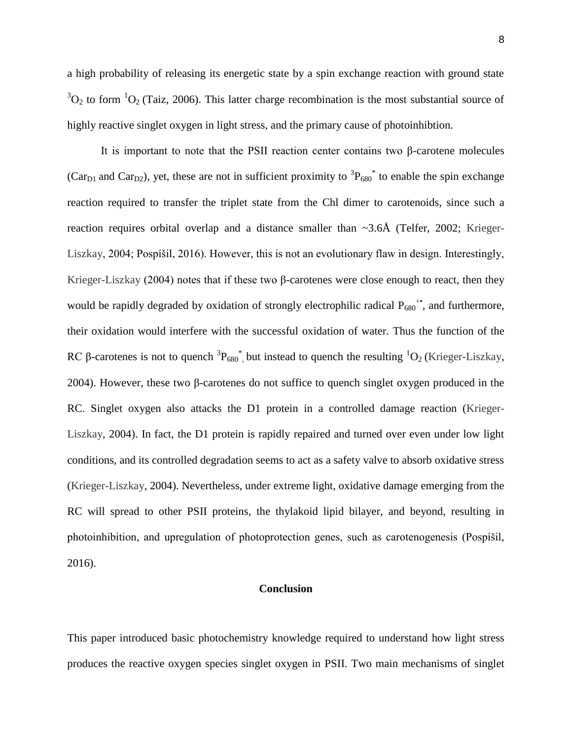a high probability of releasing its energetic state by a spin exchange reaction with ground state  ${}^{3}O_{2}$  to form  ${}^{1}O_{2}$  (Taiz, 2006). This latter charge recombination is the most substantial source of highly reactive singlet oxygen in light stress, and the primary cause of photoinhibtion.

It is important to note that the PSII reaction center contains two β-carotene molecules (Car<sub>D1</sub> and Car<sub>D2</sub>), yet, these are not in sufficient proximity to  ${}^{3}P_{680}$ <sup>\*</sup> to enable the spin exchange reaction required to transfer the triplet state from the Chl dimer to carotenoids, since such a reaction requires orbital overlap and a distance smaller than  $\sim$ 3.6Å (Telfer, 2002; Krieger-Liszkay, 2004; Pospíšil, 2016). However, this is not an evolutionary flaw in design. Interestingly, Krieger-Liszkay (2004) notes that if these two β-carotenes were close enough to react, then they would be rapidly degraded by oxidation of strongly electrophilic radical  $P_{680}$ <sup>++</sup>, and furthermore, their oxidation would interfere with the successful oxidation of water. Thus the function of the RC β-carotenes is not to quench  ${}^{3}P_{680}$ <sup>\*</sup>, but instead to quench the resulting  ${}^{1}O_{2}$  (Krieger-Liszkay, 2004). However, these two β-carotenes do not suffice to quench singlet oxygen produced in the RC. Singlet oxygen also attacks the D1 protein in a controlled damage reaction (Krieger-Liszkay, 2004). In fact, the D1 protein is rapidly repaired and turned over even under low light conditions, and its controlled degradation seems to act as a safety valve to absorb oxidative stress (Krieger-Liszkay, 2004). Nevertheless, under extreme light, oxidative damage emerging from the RC will spread to other PSII proteins, the thylakoid lipid bilayer, and beyond, resulting in photoinhibition, and upregulation of photoprotection genes, such as carotenogenesis (Pospíšil, 2016).

# **Conclusion**

This paper introduced basic photochemistry knowledge required to understand how light stress produces the reactive oxygen species singlet oxygen in PSII. Two main mechanisms of singlet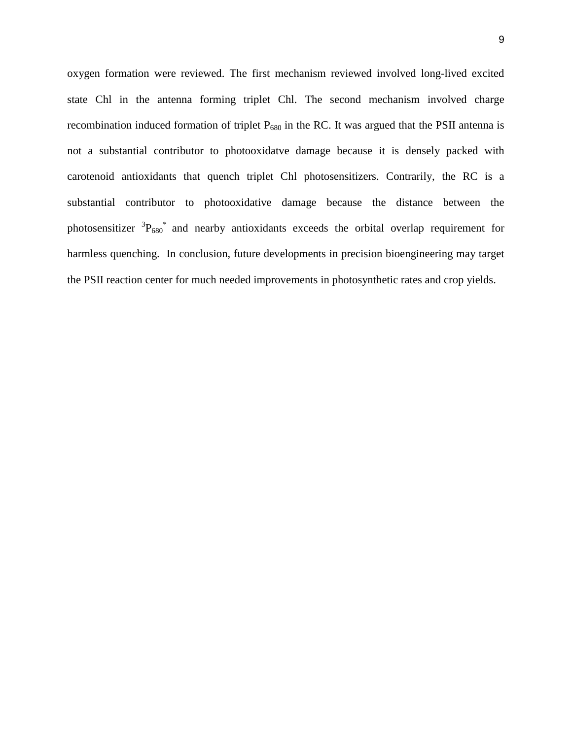oxygen formation were reviewed. The first mechanism reviewed involved long-lived excited state Chl in the antenna forming triplet Chl. The second mechanism involved charge recombination induced formation of triplet  $P_{680}$  in the RC. It was argued that the PSII antenna is not a substantial contributor to photooxidatve damage because it is densely packed with carotenoid antioxidants that quench triplet Chl photosensitizers. Contrarily, the RC is a substantial contributor to photooxidative damage because the distance between the photosensitizer  ${}^{3}P_{680}$ <sup>\*</sup> and nearby antioxidants exceeds the orbital overlap requirement for harmless quenching. In conclusion, future developments in precision bioengineering may target the PSII reaction center for much needed improvements in photosynthetic rates and crop yields.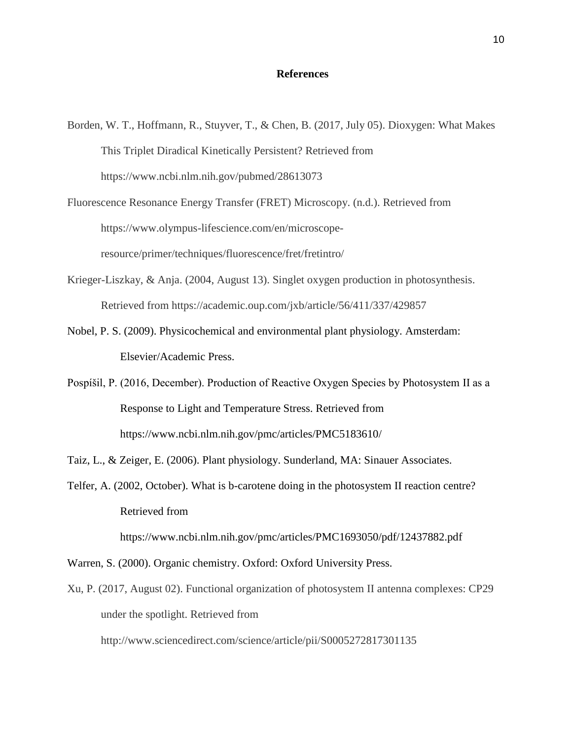# **References**

- Borden, W. T., Hoffmann, R., Stuyver, T., & Chen, B. (2017, July 05). Dioxygen: What Makes This Triplet Diradical Kinetically Persistent? Retrieved from https://www.ncbi.nlm.nih.gov/pubmed/28613073
- Fluorescence Resonance Energy Transfer (FRET) Microscopy. (n.d.). Retrieved from https://www.olympus-lifescience.com/en/microscoperesource/primer/techniques/fluorescence/fret/fretintro/
- Krieger-Liszkay, & Anja. (2004, August 13). Singlet oxygen production in photosynthesis. Retrieved from https://academic.oup.com/jxb/article/56/411/337/429857
- Nobel, P. S. (2009). Physicochemical and environmental plant physiology. Amsterdam: Elsevier/Academic Press.
- Pospíšil, P. (2016, December). Production of Reactive Oxygen Species by Photosystem II as a Response to Light and Temperature Stress. Retrieved from https://www.ncbi.nlm.nih.gov/pmc/articles/PMC5183610/
- Taiz, L., & Zeiger, E. (2006). Plant physiology. Sunderland, MA: Sinauer Associates.
- Telfer, A. (2002, October). What is b-carotene doing in the photosystem II reaction centre? Retrieved from

https://www.ncbi.nlm.nih.gov/pmc/articles/PMC1693050/pdf/12437882.pdf

- Warren, S. (2000). Organic chemistry. Oxford: Oxford University Press.
- Xu, P. (2017, August 02). Functional organization of photosystem II antenna complexes: CP29 under the spotlight. Retrieved from

http://www.sciencedirect.com/science/article/pii/S0005272817301135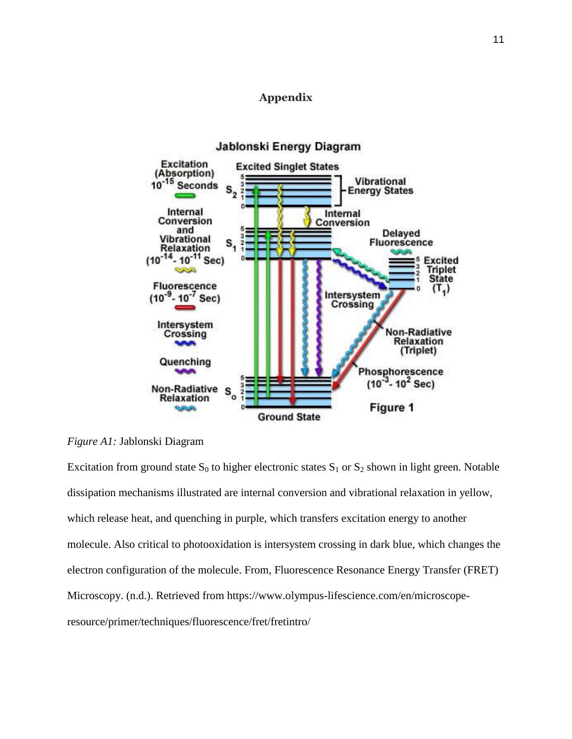# **Appendix**



# *Figure A1:* Jablonski Diagram

Excitation from ground state  $S_0$  to higher electronic states  $S_1$  or  $S_2$  shown in light green. Notable dissipation mechanisms illustrated are internal conversion and vibrational relaxation in yellow, which release heat, and quenching in purple, which transfers excitation energy to another molecule. Also critical to photooxidation is intersystem crossing in dark blue, which changes the electron configuration of the molecule. From, Fluorescence Resonance Energy Transfer (FRET) Microscopy. (n.d.). Retrieved from https://www.olympus-lifescience.com/en/microscoperesource/primer/techniques/fluorescence/fret/fretintro/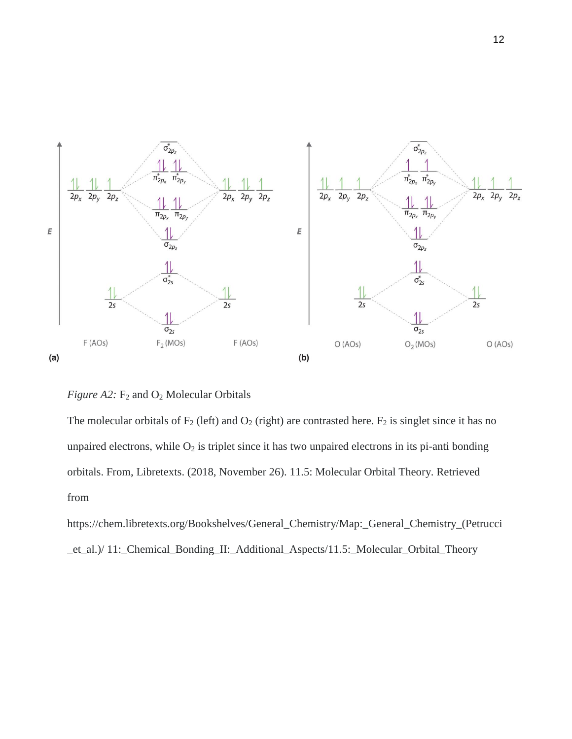

*Figure A2:*  $F_2$  and  $O_2$  Molecular Orbitals

The molecular orbitals of  $F_2$  (left) and  $O_2$  (right) are contrasted here.  $F_2$  is singlet since it has no unpaired electrons, while  $O_2$  is triplet since it has two unpaired electrons in its pi-anti bonding orbitals. From, Libretexts. (2018, November 26). 11.5: Molecular Orbital Theory. Retrieved from

https://chem.libretexts.org/Bookshelves/General\_Chemistry/Map:\_General\_Chemistry\_(Petrucci \_et\_al.)/ 11:\_Chemical\_Bonding\_II:\_Additional\_Aspects/11.5:\_Molecular\_Orbital\_Theory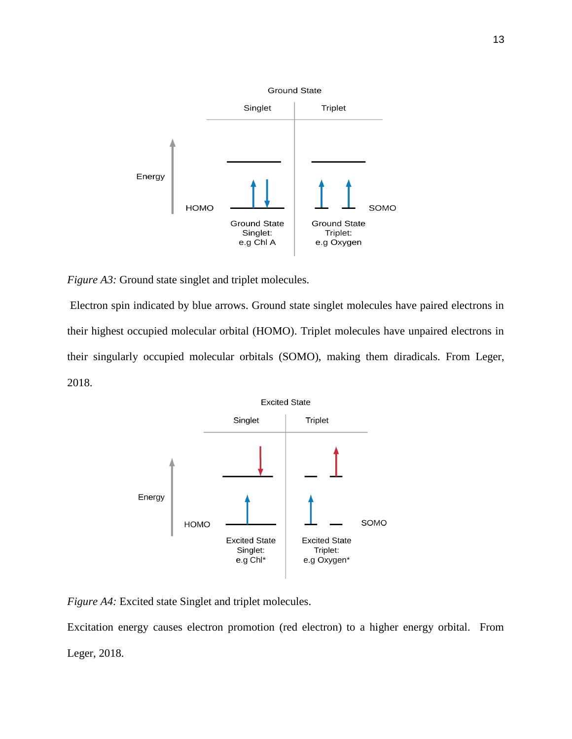

*Figure A3:* Ground state singlet and triplet molecules.

Electron spin indicated by blue arrows. Ground state singlet molecules have paired electrons in their highest occupied molecular orbital (HOMO). Triplet molecules have unpaired electrons in their singularly occupied molecular orbitals (SOMO), making them diradicals. From Leger, 2018.



*Figure A4:* Excited state Singlet and triplet molecules.

Excitation energy causes electron promotion (red electron) to a higher energy orbital. From Leger, 2018.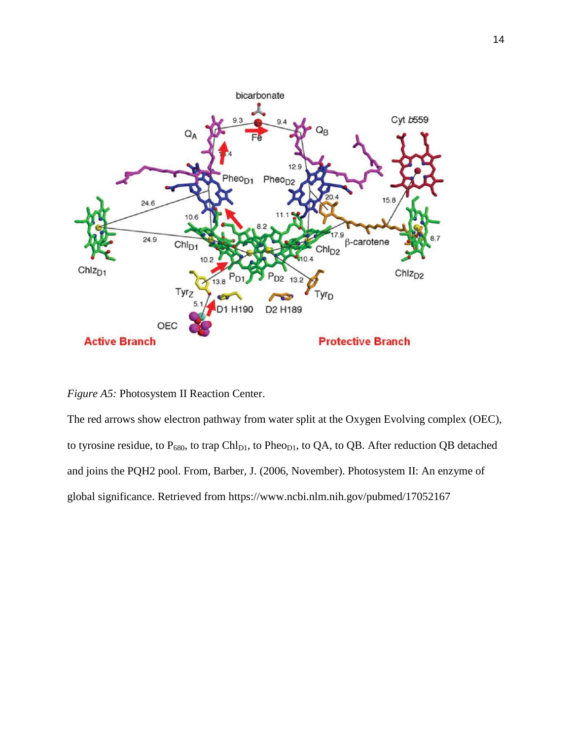

*Figure A5:* Photosystem II Reaction Center.

The red arrows show electron pathway from water split at the Oxygen Evolving complex (OEC), to tyrosine residue, to  $P_{680}$ , to trap Chl<sub>D1</sub>, to Pheo<sub>D1</sub>, to QA, to QB. After reduction QB detached and joins the PQH2 pool. From, Barber, J. (2006, November). Photosystem II: An enzyme of global significance. Retrieved from https://www.ncbi.nlm.nih.gov/pubmed/17052167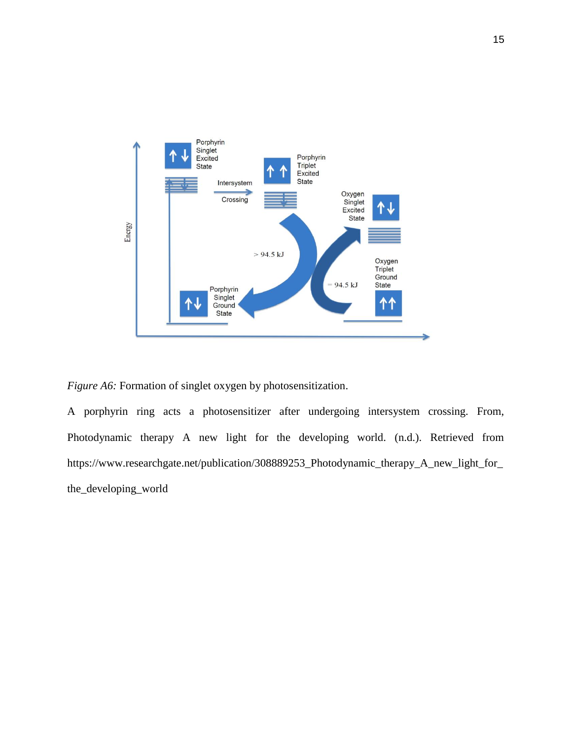

*Figure A6:* Formation of singlet oxygen by photosensitization.

A porphyrin ring acts a photosensitizer after undergoing intersystem crossing. From, Photodynamic therapy A new light for the developing world. (n.d.). Retrieved from https://www.researchgate.net/publication/308889253\_Photodynamic\_therapy\_A\_new\_light\_for\_ the\_developing\_world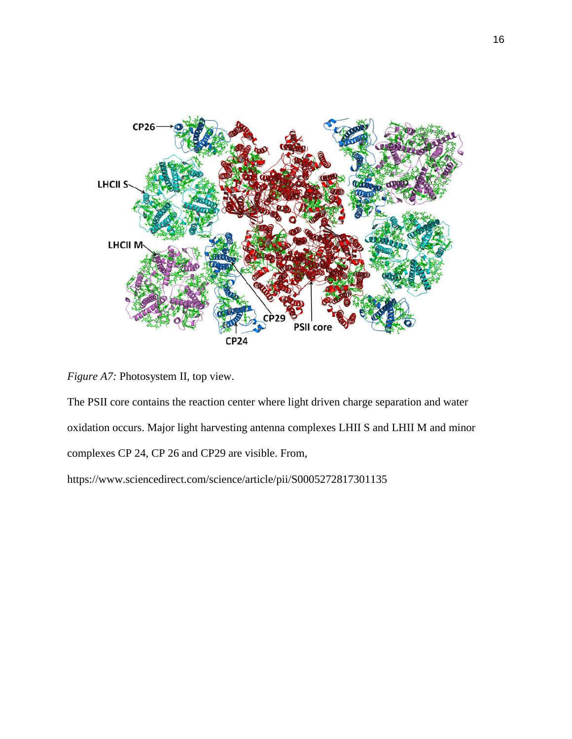

*Figure A7:* Photosystem II, top view.

The PSII core contains the reaction center where light driven charge separation and water oxidation occurs. Major light harvesting antenna complexes LHII S and LHII M and minor complexes CP 24, CP 26 and CP29 are visible. From,

https://www.sciencedirect.com/science/article/pii/S0005272817301135